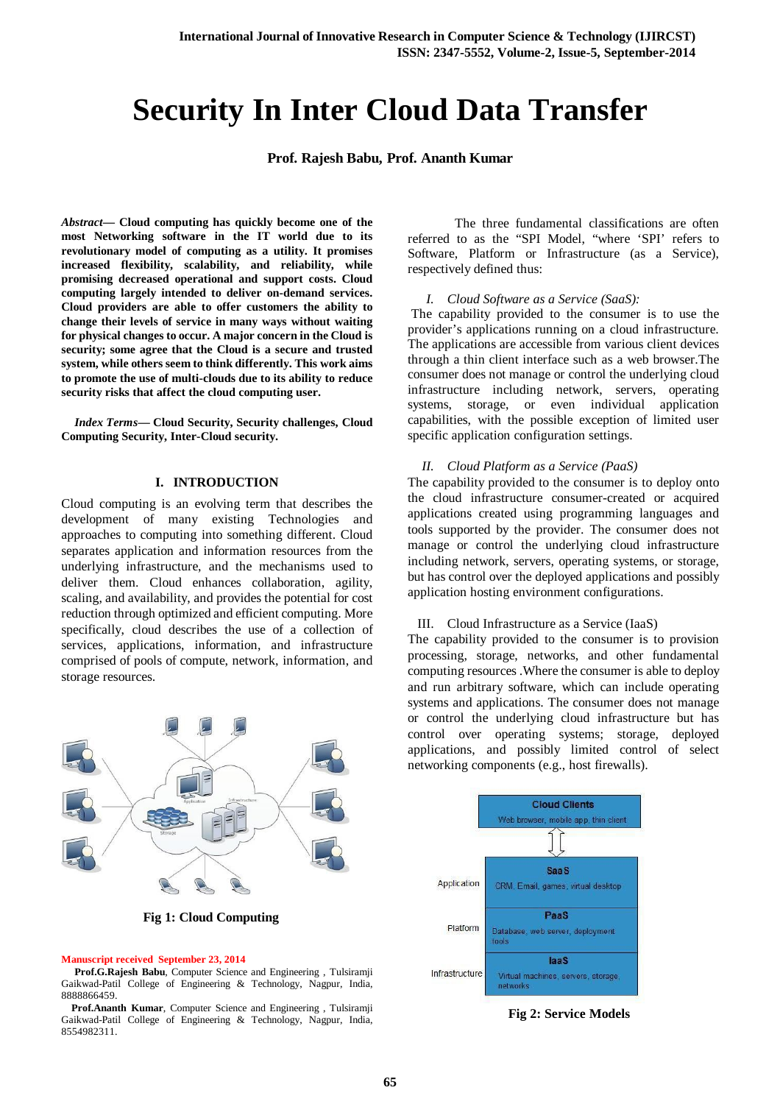# **Security In Inter Cloud Data Transfer**

**Prof. Rajesh Babu, Prof. Ananth Kumar** 

*Abstract***— Cloud computing has quickly become one of the most Networking software in the IT world due to its revolutionary model of computing as a utility. It promises increased flexibility, scalability, and reliability, while promising decreased operational and support costs. Cloud computing largely intended to deliver on-demand services. Cloud providers are able to offer customers the ability to change their levels of service in many ways without waiting for physical changes to occur. A major concern in the Cloud is security; some agree that the Cloud is a secure and trusted system, while others seem to think differently. This work aims to promote the use of multi-clouds due to its ability to reduce security risks that affect the cloud computing user.**

*Index Terms***— Cloud Security, Security challenges, Cloud Computing Security, Inter-Cloud security.** 

## **I. INTRODUCTION**

Cloud computing is an evolving term that describes the development of many existing Technologies and approaches to computing into something different. Cloud separates application and information resources from the underlying infrastructure, and the mechanisms used to deliver them. Cloud enhances collaboration, agility, scaling, and availability, and provides the potential for cost reduction through optimized and efficient computing. More specifically, cloud describes the use of a collection of services, applications, information, and infrastructure comprised of pools of compute, network, information, and storage resources.



 **Fig 1: Cloud Computing** 

#### **Manuscript received September 23, 2014**

**Prof.G.Rajesh Babu**, Computer Science and Engineering , Tulsiramji Gaikwad-Patil College of Engineering & Technology, Nagpur, India, 8888866459.

 **Prof.Ananth Kumar**, Computer Science and Engineering , Tulsiramji Gaikwad-Patil College of Engineering & Technology, Nagpur, India, 8554982311.

The three fundamental classifications are often referred to as the "SPI Model, "where 'SPI' refers to Software, Platform or Infrastructure (as a Service), respectively defined thus:

## *I. Cloud Software as a Service (SaaS):*

The capability provided to the consumer is to use the provider's applications running on a cloud infrastructure. The applications are accessible from various client devices through a thin client interface such as a web browser.The consumer does not manage or control the underlying cloud infrastructure including network, servers, operating systems, storage, or even individual application capabilities, with the possible exception of limited user specific application configuration settings.

## *II. Cloud Platform as a Service (PaaS)*

The capability provided to the consumer is to deploy onto the cloud infrastructure consumer-created or acquired applications created using programming languages and tools supported by the provider. The consumer does not manage or control the underlying cloud infrastructure including network, servers, operating systems, or storage, but has control over the deployed applications and possibly application hosting environment configurations.

#### III. Cloud Infrastructure as a Service (IaaS)

The capability provided to the consumer is to provision processing, storage, networks, and other fundamental computing resources .Where the consumer is able to deploy and run arbitrary software, which can include operating systems and applications. The consumer does not manage or control the underlying cloud infrastructure but has control over operating systems; storage, deployed applications, and possibly limited control of select networking components (e.g., host firewalls).



**Fig 2: Service Models**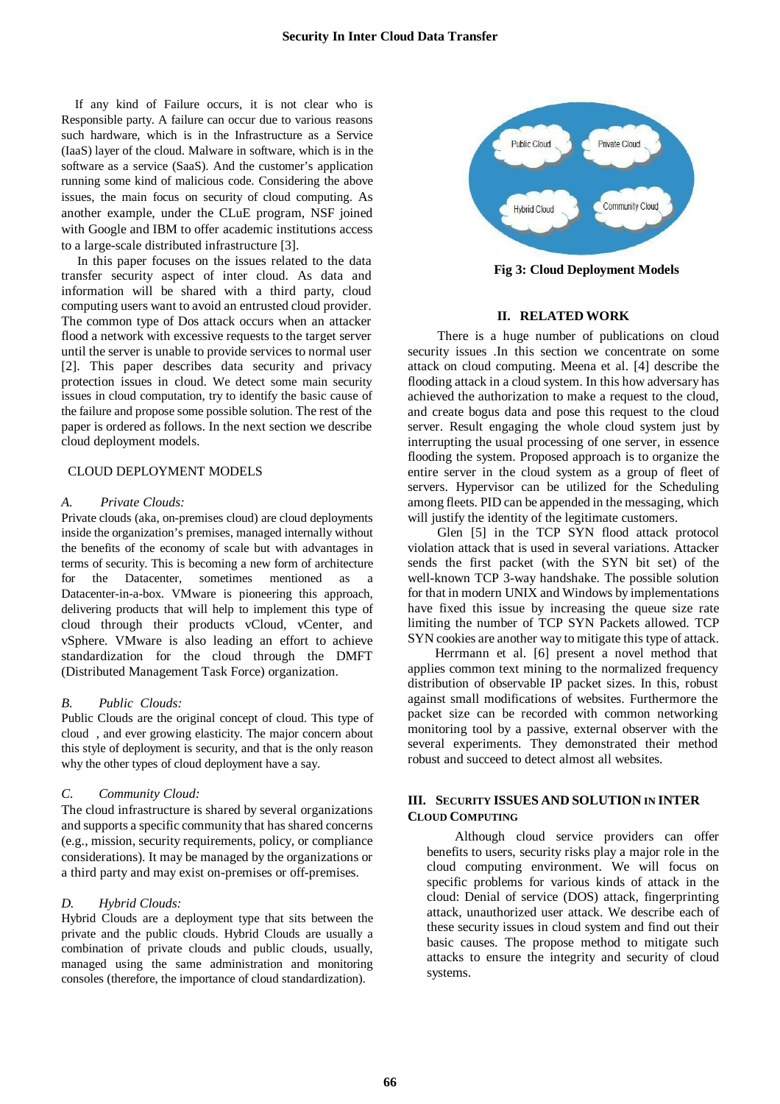If any kind of Failure occurs, it is not clear who is Responsible party. A failure can occur due to various reasons such hardware, which is in the Infrastructure as a Service (IaaS) layer of the cloud. Malware in software, which is in the software as a service (SaaS). And the customer's application running some kind of malicious code. Considering the above issues, the main focus on security of cloud computing. As another example, under the CLuE program, NSF joined with Google and IBM to offer academic institutions access to a large-scale distributed infrastructure [3].

 In this paper focuses on the issues related to the data transfer security aspect of inter cloud. As data and information will be shared with a third party, cloud computing users want to avoid an entrusted cloud provider. The common type of Dos attack occurs when an attacker flood a network with excessive requests to the target server until the server is unable to provide services to normal user [2]. This paper describes data security and privacy protection issues in cloud. We detect some main security issues in cloud computation, try to identify the basic cause of the failure and propose some possible solution. The rest of the paper is ordered as follows. In the next section we describe cloud deployment models.

## CLOUD DEPLOYMENT MODELS

#### *A. Private Clouds:*

Private clouds (aka, on-premises cloud) are cloud deployments inside the organization's premises, managed internally without the benefits of the economy of scale but with advantages in terms of security. This is becoming a new form of architecture for the Datacenter, sometimes mentioned as a Datacenter-in-a-box. VMware is pioneering this approach, delivering products that will help to implement this type of cloud through their products vCloud, vCenter, and vSphere. VMware is also leading an effort to achieve standardization for the cloud through the DMFT (Distributed Management Task Force) organization.

## *B. Public Clouds:*

Public Clouds are the original concept of cloud. This type of cloud , and ever growing elasticity. The major concern about this style of deployment is security, and that is the only reason why the other types of cloud deployment have a say.

#### *C. Community Cloud:*

The cloud infrastructure is shared by several organizations and supports a specific community that has shared concerns (e.g., mission, security requirements, policy, or compliance considerations). It may be managed by the organizations or a third party and may exist on-premises or off-premises.

## *D. Hybrid Clouds:*

Hybrid Clouds are a deployment type that sits between the private and the public clouds. Hybrid Clouds are usually a combination of private clouds and public clouds, usually, managed using the same administration and monitoring consoles (therefore, the importance of cloud standardization).



**Fig 3: Cloud Deployment Models**

#### **II. RELATED WORK**

There is a huge number of publications on cloud security issues .In this section we concentrate on some attack on cloud computing. Meena et al. [4] describe the flooding attack in a cloud system. In this how adversary has achieved the authorization to make a request to the cloud, and create bogus data and pose this request to the cloud server. Result engaging the whole cloud system just by interrupting the usual processing of one server, in essence flooding the system. Proposed approach is to organize the entire server in the cloud system as a group of fleet of servers. Hypervisor can be utilized for the Scheduling among fleets. PID can be appended in the messaging, which will justify the identity of the legitimate customers.

Glen [5] in the TCP SYN flood attack protocol violation attack that is used in several variations. Attacker sends the first packet (with the SYN bit set) of the well-known TCP 3-way handshake. The possible solution for that in modern UNIX and Windows by implementations have fixed this issue by increasing the queue size rate limiting the number of TCP SYN Packets allowed. TCP SYN cookies are another way to mitigate this type of attack.

 Herrmann et al. [6] present a novel method that applies common text mining to the normalized frequency distribution of observable IP packet sizes. In this, robust against small modifications of websites. Furthermore the packet size can be recorded with common networking monitoring tool by a passive, external observer with the several experiments. They demonstrated their method robust and succeed to detect almost all websites.

# **III. SECURITY ISSUES AND SOLUTION IN INTER CLOUD COMPUTING**

Although cloud service providers can offer benefits to users, security risks play a major role in the cloud computing environment. We will focus on specific problems for various kinds of attack in the cloud: Denial of service (DOS) attack, fingerprinting attack, unauthorized user attack. We describe each of these security issues in cloud system and find out their basic causes. The propose method to mitigate such attacks to ensure the integrity and security of cloud systems.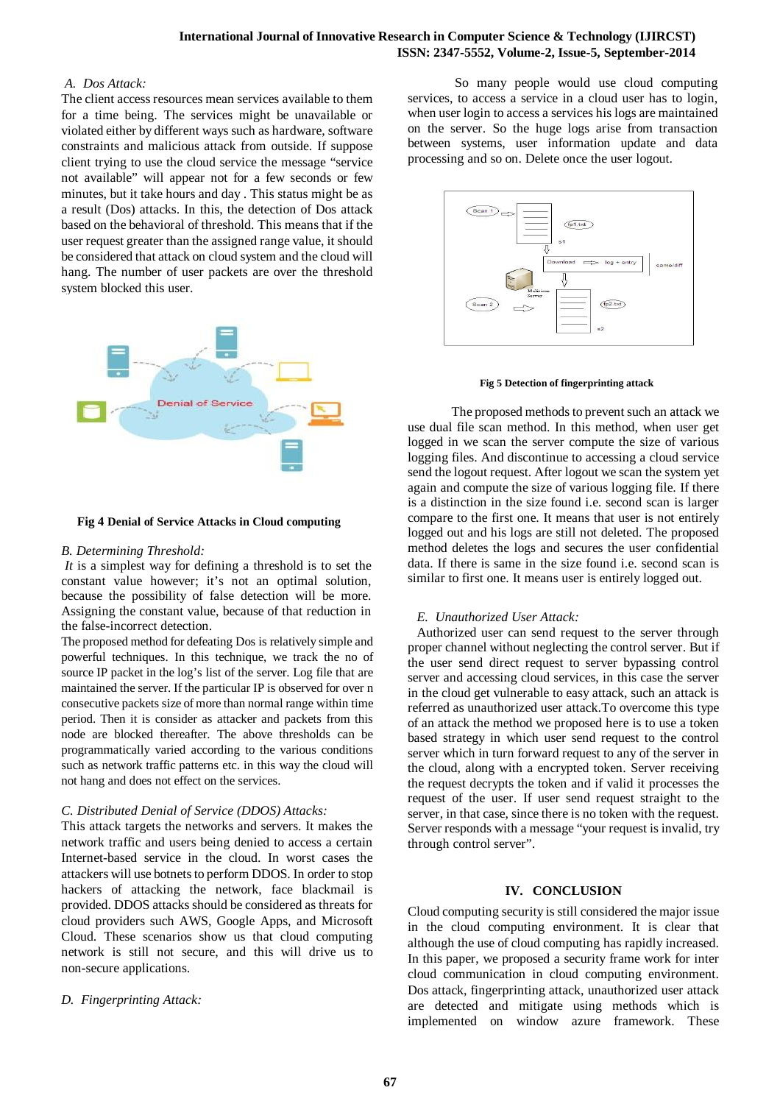# *A. Dos Attack:*

The client access resources mean services available to them for a time being. The services might be unavailable or violated either by different ways such as hardware, software constraints and malicious attack from outside. If suppose client trying to use the cloud service the message "service not available" will appear not for a few seconds or few minutes, but it take hours and day . This status might be as a result (Dos) attacks. In this, the detection of Dos attack based on the behavioral of threshold. This means that if the user request greater than the assigned range value, it should be considered that attack on cloud system and the cloud will hang. The number of user packets are over the threshold system blocked this user.



## **Fig 4 Denial of Service Attacks in Cloud computing**

## *B. Determining Threshold:*

*It* is a simplest way for defining a threshold is to set the constant value however; it's not an optimal solution, because the possibility of false detection will be more. Assigning the constant value, because of that reduction in the false-incorrect detection.

The proposed method for defeating Dos is relatively simple and powerful techniques. In this technique, we track the no of source IP packet in the log's list of the server. Log file that are maintained the server. If the particular IP is observed for over n consecutive packets size of more than normal range within time period. Then it is consider as attacker and packets from this node are blocked thereafter. The above thresholds can be programmatically varied according to the various conditions such as network traffic patterns etc. in this way the cloud will not hang and does not effect on the services.

# *C. Distributed Denial of Service (DDOS) Attacks:*

This attack targets the networks and servers. It makes the network traffic and users being denied to access a certain Internet-based service in the cloud. In worst cases the attackers will use botnets to perform DDOS. In order to stop hackers of attacking the network, face blackmail is provided. DDOS attacks should be considered as threats for cloud providers such AWS, Google Apps, and Microsoft Cloud. These scenarios show us that cloud computing network is still not secure, and this will drive us to non-secure applications.

# *D. Fingerprinting Attack:*

So many people would use cloud computing services, to access a service in a cloud user has to login, when user login to access a services his logs are maintained on the server. So the huge logs arise from transaction between systems, user information update and data processing and so on. Delete once the user logout.



**Fig 5 Detection of fingerprinting attack**

 The proposed methods to prevent such an attack we use dual file scan method. In this method, when user get logged in we scan the server compute the size of various logging files. And discontinue to accessing a cloud service send the logout request. After logout we scan the system yet again and compute the size of various logging file. If there is a distinction in the size found i.e. second scan is larger compare to the first one. It means that user is not entirely logged out and his logs are still not deleted. The proposed method deletes the logs and secures the user confidential data. If there is same in the size found i.e. second scan is similar to first one. It means user is entirely logged out.

# *E. Unauthorized User Attack:*

Authorized user can send request to the server through proper channel without neglecting the control server. But if the user send direct request to server bypassing control server and accessing cloud services, in this case the server in the cloud get vulnerable to easy attack, such an attack is referred as unauthorized user attack.To overcome this type of an attack the method we proposed here is to use a token based strategy in which user send request to the control server which in turn forward request to any of the server in the cloud, along with a encrypted token. Server receiving the request decrypts the token and if valid it processes the request of the user. If user send request straight to the server, in that case, since there is no token with the request. Server responds with a message "your request is invalid, try through control server".

# **IV. CONCLUSION**

Cloud computing security is still considered the major issue in the cloud computing environment. It is clear that although the use of cloud computing has rapidly increased. In this paper, we proposed a security frame work for inter cloud communication in cloud computing environment. Dos attack, fingerprinting attack, unauthorized user attack are detected and mitigate using methods which is implemented on window azure framework. These